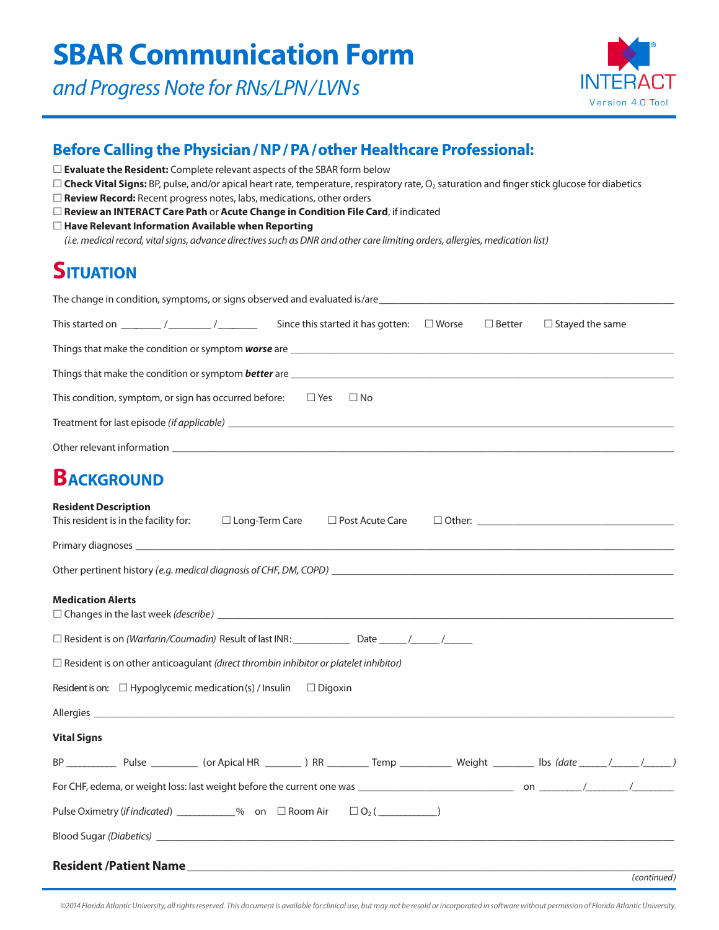*and Progress Note for RNs/LPN/LVNs*



#### **Before Calling the Physician / NP / PA/other Healthcare Professional:**

*©2014 Florida Atlantic University, all rights reserved. This document is available for clinical use, but may not be resold or incorporated in software without permission of Florida Atlantic University.*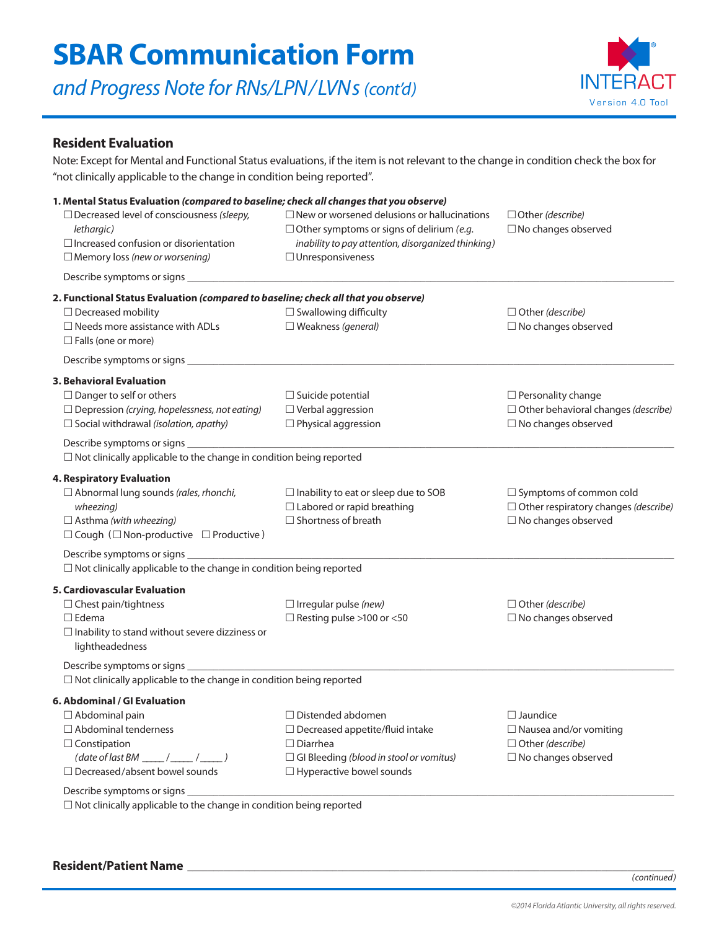*and Progress Note for RNs/LPN/LVNs (cont'd)*



#### **Resident Evaluation**

Note: Except for Mental and Functional Status evaluations, if the item is not relevant to the change in condition check the box for "not clinically applicable to the change in condition being reported".

| 1. Mental Status Evaluation (compared to baseline; check all changes that you observe)                                                             |                                                                                                                                                                                         |                                                     |
|----------------------------------------------------------------------------------------------------------------------------------------------------|-----------------------------------------------------------------------------------------------------------------------------------------------------------------------------------------|-----------------------------------------------------|
| □ Decreased level of consciousness (sleepy,<br>lethargic)<br>$\Box$ Increased confusion or disorientation<br>$\Box$ Memory loss (new or worsening) | $\Box$ New or worsened delusions or hallucinations<br>$\Box$ Other symptoms or signs of delirium (e.g.<br>inability to pay attention, disorganized thinking)<br>$\Box$ Unresponsiveness | □ Other (describe)<br>$\square$ No changes observed |
|                                                                                                                                                    |                                                                                                                                                                                         |                                                     |
| 2. Functional Status Evaluation (compared to baseline; check all that you observe)                                                                 |                                                                                                                                                                                         |                                                     |
| $\Box$ Decreased mobility                                                                                                                          | $\Box$ Swallowing difficulty                                                                                                                                                            | $\Box$ Other (describe)                             |
| $\Box$ Needs more assistance with ADLs<br>$\Box$ Falls (one or more)                                                                               | $\square$ Weakness (general)                                                                                                                                                            | $\Box$ No changes observed                          |
|                                                                                                                                                    |                                                                                                                                                                                         |                                                     |
| <b>3. Behavioral Evaluation</b>                                                                                                                    |                                                                                                                                                                                         |                                                     |
| $\Box$ Danger to self or others                                                                                                                    | $\Box$ Suicide potential                                                                                                                                                                | $\Box$ Personality change                           |
| $\Box$ Depression (crying, hopelessness, not eating)                                                                                               | $\Box$ Verbal aggression                                                                                                                                                                | $\Box$ Other behavioral changes (describe)          |
| $\Box$ Social withdrawal (isolation, apathy)                                                                                                       | $\Box$ Physical aggression                                                                                                                                                              | $\Box$ No changes observed                          |
|                                                                                                                                                    |                                                                                                                                                                                         |                                                     |
| $\Box$ Not clinically applicable to the change in condition being reported                                                                         |                                                                                                                                                                                         |                                                     |
| 4. Respiratory Evaluation                                                                                                                          |                                                                                                                                                                                         |                                                     |
| $\Box$ Abnormal lung sounds (rales, rhonchi,                                                                                                       | $\Box$ Inability to eat or sleep due to SOB                                                                                                                                             | $\Box$ Symptoms of common cold                      |
| wheezing)                                                                                                                                          | $\Box$ Labored or rapid breathing                                                                                                                                                       | $\Box$ Other respiratory changes (describe)         |
| $\Box$ Asthma (with wheezing)                                                                                                                      | $\Box$ Shortness of breath                                                                                                                                                              | $\Box$ No changes observed                          |
| $\Box$ Cough ( $\Box$ Non-productive $\Box$ Productive)                                                                                            |                                                                                                                                                                                         |                                                     |
|                                                                                                                                                    |                                                                                                                                                                                         |                                                     |
| $\Box$ Not clinically applicable to the change in condition being reported                                                                         |                                                                                                                                                                                         |                                                     |
| 5. Cardiovascular Evaluation                                                                                                                       |                                                                                                                                                                                         |                                                     |
| $\Box$ Chest pain/tightness                                                                                                                        | $\Box$ Irregular pulse (new)                                                                                                                                                            | $\Box$ Other (describe)                             |
| $\Box$ Edema                                                                                                                                       | $\Box$ Resting pulse >100 or <50                                                                                                                                                        | $\square$ No changes observed                       |
| $\Box$ Inability to stand without severe dizziness or                                                                                              |                                                                                                                                                                                         |                                                     |
| lightheadedness                                                                                                                                    |                                                                                                                                                                                         |                                                     |
|                                                                                                                                                    |                                                                                                                                                                                         |                                                     |
| $\Box$ Not clinically applicable to the change in condition being reported                                                                         |                                                                                                                                                                                         |                                                     |
| 6. Abdominal / GI Evaluation                                                                                                                       |                                                                                                                                                                                         |                                                     |
| $\Box$ Abdominal pain                                                                                                                              | $\Box$ Distended abdomen                                                                                                                                                                | $\square$ Jaundice                                  |
| $\Box$ Abdominal tenderness                                                                                                                        | $\Box$ Decreased appetite/fluid intake                                                                                                                                                  | $\Box$ Nausea and/or vomiting                       |
| $\Box$ Constipation                                                                                                                                | $\Box$ Diarrhea                                                                                                                                                                         | $\Box$ Other (describe)                             |
| $(data of last BM _  / _  / _ )$                                                                                                                   | $\Box$ GI Bleeding (blood in stool or vomitus)                                                                                                                                          | $\Box$ No changes observed                          |
| $\Box$ Decreased/absent bowel sounds                                                                                                               | $\Box$ Hyperactive bowel sounds                                                                                                                                                         |                                                     |
| Describe symptoms or signs ___                                                                                                                     |                                                                                                                                                                                         |                                                     |
|                                                                                                                                                    | the contract of the contract of the contract of the contract of the contract of the contract of the contract of                                                                         |                                                     |

 $\Box$  Not clinically applicable to the change in condition being reported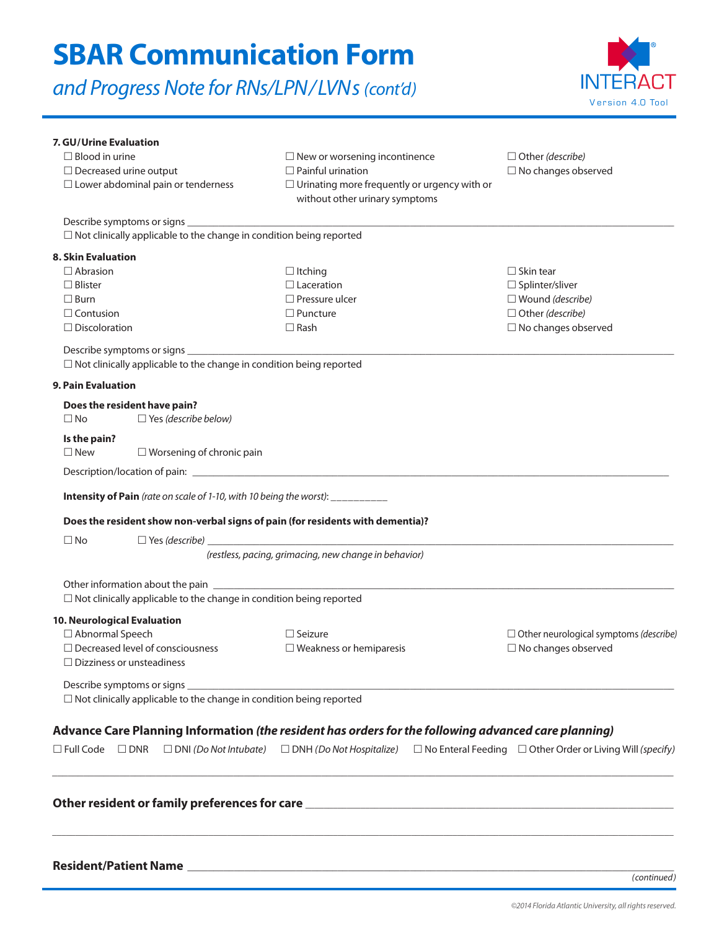*and Progress Note for RNs/LPN/LVNs (cont'd)*



| 7. GU/Urine Evaluation<br>$\Box$ Blood in urine<br>$\Box$ Decreased urine output<br>$\Box$ Lower abdominal pain or tenderness | $\Box$ New or worsening incontinence<br>$\Box$ Painful urination<br>$\Box$ Urinating more frequently or urgency with or<br>without other urinary symptoms      | $\Box$ Other (describe)<br>$\square$ No changes observed                                                                |
|-------------------------------------------------------------------------------------------------------------------------------|----------------------------------------------------------------------------------------------------------------------------------------------------------------|-------------------------------------------------------------------------------------------------------------------------|
| $\Box$ Not clinically applicable to the change in condition being reported                                                    |                                                                                                                                                                |                                                                                                                         |
| 8. Skin Evaluation                                                                                                            |                                                                                                                                                                |                                                                                                                         |
| $\Box$ Abrasion<br>$\Box$ Blister<br>$\Box$ Burn<br>$\Box$ Contusion<br>$\Box$ Discoloration                                  | $\Box$ Itching<br>$\Box$ Laceration<br>$\Box$ Pressure ulcer<br>$\Box$ Puncture<br>$\Box$ Rash                                                                 | $\Box$ Skin tear<br>□ Splinter/sliver<br>$\square$ Wound (describe)<br>$\Box$ Other (describe)<br>□ No changes observed |
|                                                                                                                               |                                                                                                                                                                |                                                                                                                         |
| $\Box$ Not clinically applicable to the change in condition being reported                                                    |                                                                                                                                                                |                                                                                                                         |
| <b>9. Pain Evaluation</b>                                                                                                     |                                                                                                                                                                |                                                                                                                         |
| Does the resident have pain?<br>$\Box$ Yes (describe below)<br>$\square$ No                                                   |                                                                                                                                                                |                                                                                                                         |
| Is the pain?<br>$\Box$ New<br>$\Box$ Worsening of chronic pain                                                                |                                                                                                                                                                |                                                                                                                         |
|                                                                                                                               |                                                                                                                                                                |                                                                                                                         |
| Intensity of Pain (rate on scale of 1-10, with 10 being the worst): __________                                                |                                                                                                                                                                |                                                                                                                         |
| Does the resident show non-verbal signs of pain (for residents with dementia)?                                                |                                                                                                                                                                |                                                                                                                         |
| $\square$ No                                                                                                                  |                                                                                                                                                                |                                                                                                                         |
|                                                                                                                               | (restless, pacing, grimacing, new change in behavior)                                                                                                          |                                                                                                                         |
| $\Box$ Not clinically applicable to the change in condition being reported                                                    |                                                                                                                                                                |                                                                                                                         |
| 10. Neurological Evaluation                                                                                                   |                                                                                                                                                                |                                                                                                                         |
| □ Abnormal Speech<br>$\Box$ Decreased level of consciousness<br>$\Box$ Dizziness or unsteadiness                              | $\Box$ Seizure<br>$\Box$ Weakness or hemiparesis                                                                                                               | $\Box$ Other neurological symptoms (describe)<br>$\square$ No changes observed                                          |
| Describe symptoms or signs<br>$\Box$ Not clinically applicable to the change in condition being reported                      |                                                                                                                                                                |                                                                                                                         |
| Advance Care Planning Information (the resident has orders for the following advanced care planning)                          |                                                                                                                                                                |                                                                                                                         |
|                                                                                                                               | $\Box$ Full Code $\Box$ DNR $\Box$ DNI (Do Not Intubate) $\Box$ DNH (Do Not Hospitalize) $\Box$ No Enteral Feeding $\Box$ Other Order or Living Will (specify) |                                                                                                                         |
|                                                                                                                               |                                                                                                                                                                |                                                                                                                         |
|                                                                                                                               |                                                                                                                                                                | (continued)                                                                                                             |